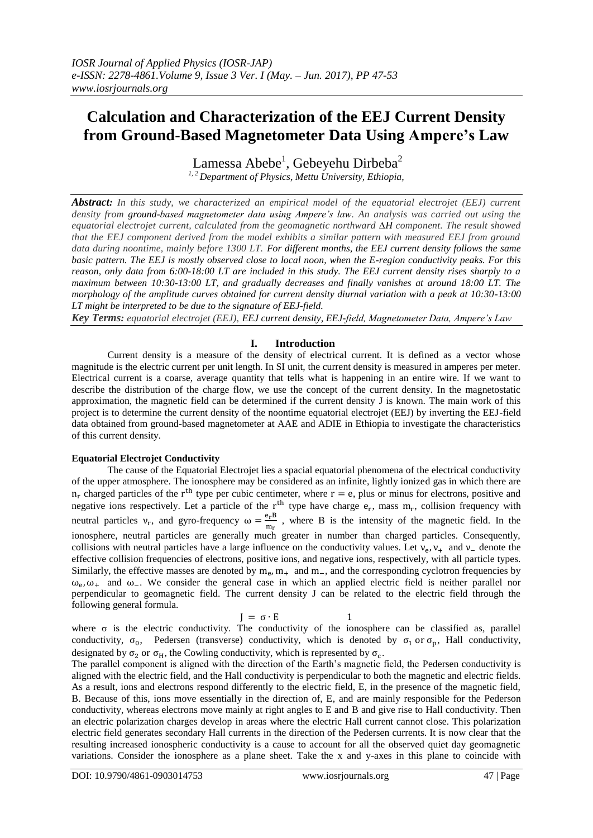# **Calculation and Characterization of the EEJ Current Density from Ground-Based Magnetometer Data Using Ampere's Law**

Lamessa Abebe $^1$ , Gebeyehu Dirbeba $^2$ *1, 2 Department of Physics, Mettu University, Ethiopia,*

*Abstract: In this study, we characterized an empirical model of the equatorial electrojet (EEJ) current density from ground-based magnetometer data using Ampere's law. An analysis was carried out using the equatorial electrojet current, calculated from the geomagnetic northward ∆H component. The result showed that the EEJ component derived from the model exhibits a similar pattern with measured EEJ from ground data during noontime, mainly before 1300 LT. For different months, the EEJ current density follows the same basic pattern. The EEJ is mostly observed close to local noon, when the E-region conductivity peaks. For this reason, only data from 6:00-18:00 LT are included in this study. The EEJ current density rises sharply to a maximum between 10:30-13:00 LT, and gradually decreases and finally vanishes at around 18:00 LT. The morphology of the amplitude curves obtained for current density diurnal variation with a peak at 10:30-13:00 LT might be interpreted to be due to the signature of EEJ-field.*

*Key Terms: equatorial electrojet (EEJ), EEJ current density, EEJ-field, Magnetometer Data, Ampere's Law*

## **I. Introduction**

Current density is a measure of the density of electrical current. It is defined as a vector whose magnitude is the electric current per unit length. In SI unit, the current density is measured in amperes per meter. Electrical current is a coarse, average quantity that tells what is happening in an entire wire. If we want to describe the distribution of the charge flow, we use the concept of the current density. In the magnetostatic approximation, the magnetic field can be determined if the current density J is known. The main work of this project is to determine the current density of the noontime equatorial electrojet (EEJ) by inverting the EEJ-field data obtained from ground-based magnetometer at AAE and ADIE in Ethiopia to investigate the characteristics of this current density.

## **Equatorial Electrojet Conductivity**

The cause of the Equatorial Electrojet lies a spacial equatorial phenomena of the electrical conductivity of the upper atmosphere. The ionosphere may be considered as an infinite, lightly ionized gas in which there are  $n_r$  charged particles of the r<sup>th</sup> type per cubic centimeter, where  $r = e$ , plus or minus for electrons, positive and negative ions respectively. Let a particle of the  $r<sup>th</sup>$  type have charge  $e_r$ , mass  $m_r$ , collision frequency with neutral particles  $v_r$ , and gyro-frequency  $\omega = \frac{e}{\epsilon}$  $\frac{c_{\text{r}} p}{m_{\text{r}}}$ , where B is the intensity of the magnetic field. In the ionosphere, neutral particles are generally much greater in number than charged particles. Consequently, collisions with neutral particles have a large influence on the conductivity values. Let  $v_e$ ,  $v_+$  and  $v_-$  denote the effective collision frequencies of electrons, positive ions, and negative ions, respectively, with all particle types. Similarly, the effective masses are denoted by  $m_e$ ,  $m_+$  and  $m_-$ , and the corresponding cyclotron frequencies by  $\omega_e$ ,  $\omega_+$  and  $\omega_-$ . We consider the general case in which an applied electric field is neither parallel nor perpendicular to geomagnetic field. The current density J can be related to the electric field through the following general formula.

$$
= \sigma \cdot E \qquad \qquad 1
$$

J where  $\sigma$  is the electric conductivity. The conductivity of the ionosphere can be classified as, parallel conductivity,  $\sigma_0$ , Pedersen (transverse) conductivity, which is denoted by  $\sigma_1$  or  $\sigma_0$ , Hall conductivity, designated by  $\sigma_2$  or  $\sigma_H$ , the Cowling conductivity, which is represented by  $\sigma_c$ .

The parallel component is aligned with the direction of the Earth's magnetic field, the Pedersen conductivity is aligned with the electric field, and the Hall conductivity is perpendicular to both the magnetic and electric fields. As a result, ions and electrons respond differently to the electric field, E, in the presence of the magnetic field, B. Because of this, ions move essentially in the direction of, E, and are mainly responsible for the Pederson conductivity, whereas electrons move mainly at right angles to E and B and give rise to Hall conductivity. Then an electric polarization charges develop in areas where the electric Hall current cannot close. This polarization electric field generates secondary Hall currents in the direction of the Pedersen currents. It is now clear that the resulting increased ionospheric conductivity is a cause to account for all the observed quiet day geomagnetic variations. Consider the ionosphere as a plane sheet. Take the x and y-axes in this plane to coincide with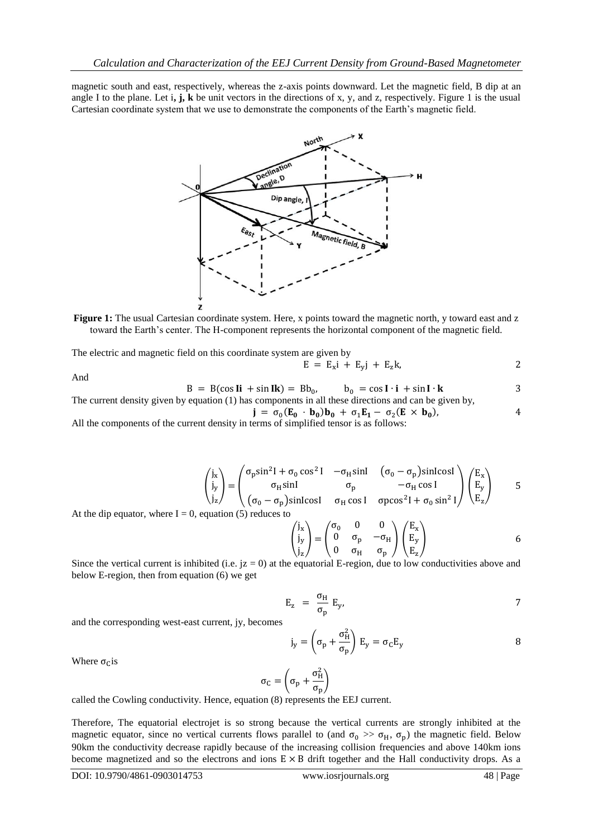magnetic south and east, respectively, whereas the z-axis points downward. Let the magnetic field, B dip at an angle I to the plane. Let  $\mathbf{i}, \mathbf{j}, \mathbf{k}$  be unit vectors in the directions of x, y, and z, respectively. Figure 1 is the usual Cartesian coordinate system that we use to demonstrate the components of the Earth's magnetic field.



**Figure 1:** The usual Cartesian coordinate system. Here, x points toward the magnetic north, y toward east and z toward the Earth's center. The H-component represents the horizontal component of the magnetic field.

The electric and magnetic field on this coordinate system are given by

$$
= E_x i + E_y j + E_z k,
$$

$$
B = B(\cos I\mathbf{i} + \sin I\mathbf{k}) = Bb_0, \qquad b_0 = \cos I \cdot \mathbf{i} + \sin I \cdot \mathbf{k} \tag{3}
$$
  
The current density given by equation (1) has components in all these directions and can be given by,  

$$
\mathbf{j} = \sigma_0 (\mathbf{E}_0 \cdot \mathbf{b}_0) \mathbf{b}_0 + \sigma_1 \mathbf{E}_1 - \sigma_2 (\mathbf{E} \times \mathbf{b}_0),
$$

E

All the components of the current density in terms of simplified tensor is as follows:

$$
\begin{pmatrix} j_x \\ j_y \\ j_z \end{pmatrix} = \begin{pmatrix} \sigma_p \sin^2 l + \sigma_0 \cos^2 l & -\sigma_H \sin l & (\sigma_0 - \sigma_p) \sin l \cos l \\ \sigma_H \sin l & \sigma_p & -\sigma_H \cos l \\ (\sigma_0 - \sigma_p) \sin l \cos l & \sigma_H \cos l & \sigma_p \cos^2 l + \sigma_0 \sin^2 l \end{pmatrix} \begin{pmatrix} E_x \\ E_y \\ E_z \end{pmatrix}
$$
 5

At the dip equator, where  $I = 0$ , equation (5) reduces to

$$
\begin{pmatrix} j_x \\ j_y \\ j_z \end{pmatrix} = \begin{pmatrix} \sigma_0 & 0 & 0 \\ 0 & \sigma_p & -\sigma_H \\ 0 & \sigma_H & \sigma_p \end{pmatrix} \begin{pmatrix} E_x \\ E_y \\ E_z \end{pmatrix}
$$
 6

Since the vertical current is inhibited (i.e.  $jz = 0$ ) at the equatorial E-region, due to low conductivities above and below E-region, then from equation (6) we get

$$
E_z = \frac{\sigma_H}{\sigma_p} E_y, \qquad \qquad \text{7}
$$

and the corresponding west-east current, jy, becomes

$$
j_y = \left(\sigma_p + \frac{\sigma_H^2}{\sigma_p}\right) E_y = \sigma_C E_y
$$
8

Where  $\sigma_{\rm C}$  is

And

$$
\sigma_C = \left(\sigma_p + \frac{\sigma_H^2}{\sigma_p}\right)
$$

called the Cowling conductivity. Hence, equation (8) represents the EEJ current.

Therefore, The equatorial electrojet is so strong because the vertical currents are strongly inhibited at the magnetic equator, since no vertical currents flows parallel to (and  $\sigma_0 \gg \sigma_H$ ,  $\sigma_p$ ) the magnetic field. Below 90km the conductivity decrease rapidly because of the increasing collision frequencies and above 140km ions become magnetized and so the electrons and ions  $E \times B$  drift together and the Hall conductivity drops. As a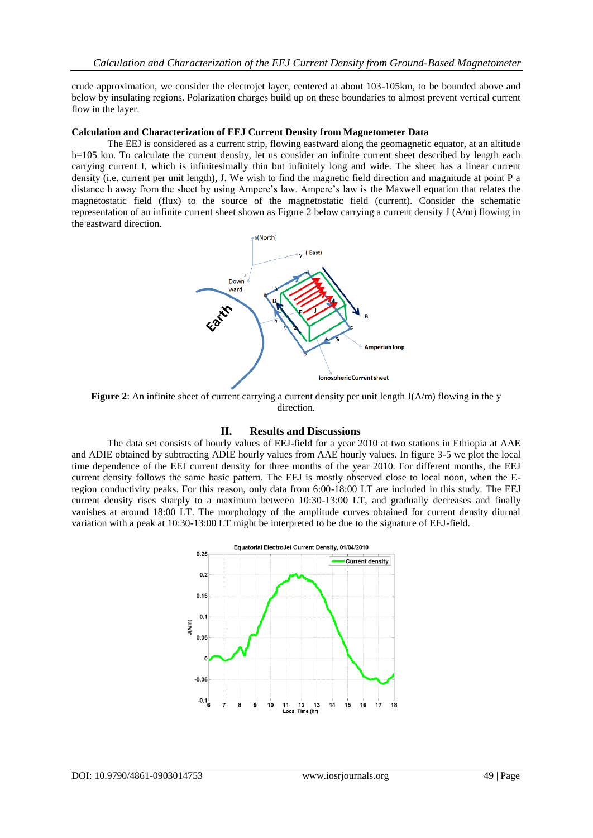crude approximation, we consider the electrojet layer, centered at about 103-105km, to be bounded above and below by insulating regions. Polarization charges build up on these boundaries to almost prevent vertical current flow in the layer.

### **Calculation and Characterization of EEJ Current Density from Magnetometer Data**

The EEJ is considered as a current strip, flowing eastward along the geomagnetic equator, at an altitude h=105 km. To calculate the current density, let us consider an infinite current sheet described by length each carrying current I, which is infinitesimally thin but infinitely long and wide. The sheet has a linear current density (i.e. current per unit length), J. We wish to find the magnetic field direction and magnitude at point P a distance h away from the sheet by using Ampere's law. Ampere's law is the Maxwell equation that relates the magnetostatic field (flux) to the source of the magnetostatic field (current). Consider the schematic representation of an infinite current sheet shown as Figure 2 below carrying a current density J (A/m) flowing in the eastward direction.



**Figure 2**: An infinite sheet of current carrying a current density per unit length  $J(A/m)$  flowing in the y direction.

## **II. Results and Discussions**

The data set consists of hourly values of EEJ-field for a year 2010 at two stations in Ethiopia at AAE and ADIE obtained by subtracting ADIE hourly values from AAE hourly values. In figure 3-5 we plot the local time dependence of the EEJ current density for three months of the year 2010. For different months, the EEJ current density follows the same basic pattern. The EEJ is mostly observed close to local noon, when the Eregion conductivity peaks. For this reason, only data from 6:00-18:00 LT are included in this study. The EEJ current density rises sharply to a maximum between 10:30-13:00 LT, and gradually decreases and finally vanishes at around 18:00 LT. The morphology of the amplitude curves obtained for current density diurnal variation with a peak at 10:30-13:00 LT might be interpreted to be due to the signature of EEJ-field.

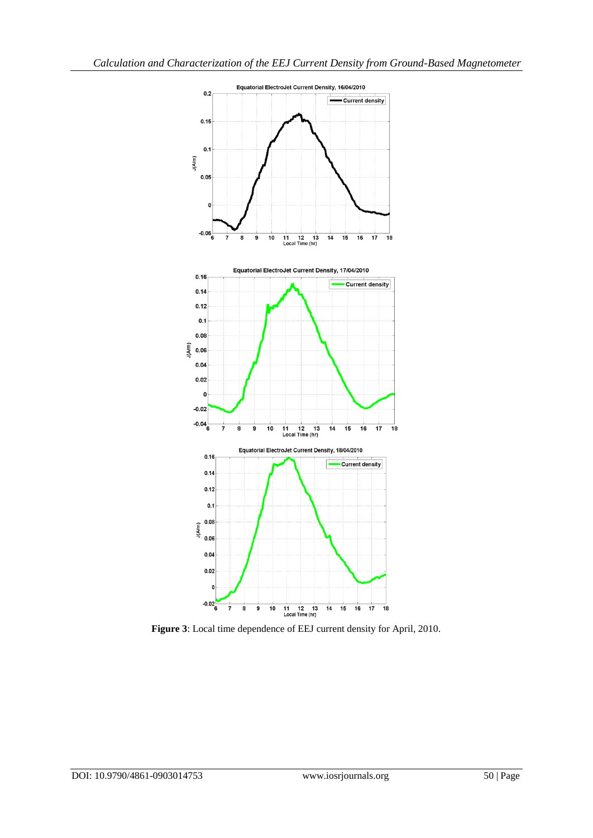

**Figure 3**: Local time dependence of EEJ current density for April, 2010.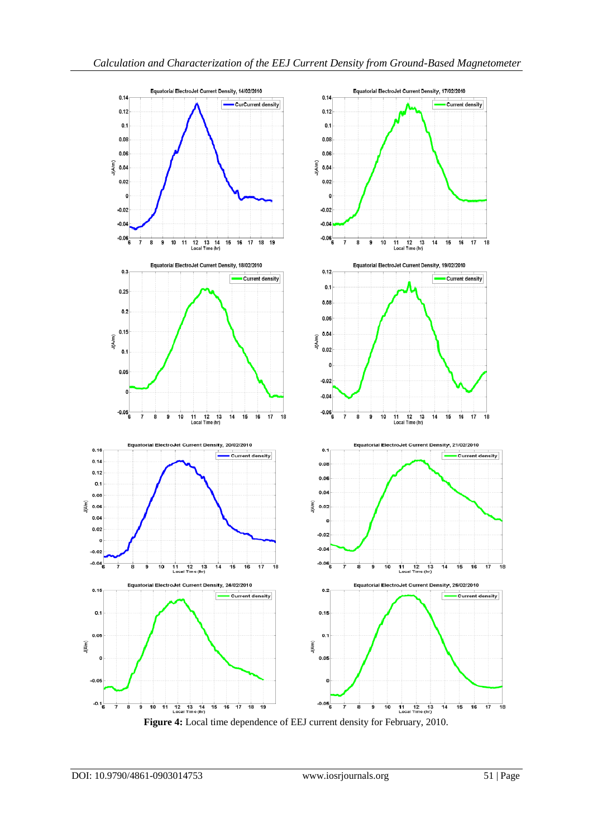

**Figure 4:** Local time dependence of EEJ current density for February, 2010.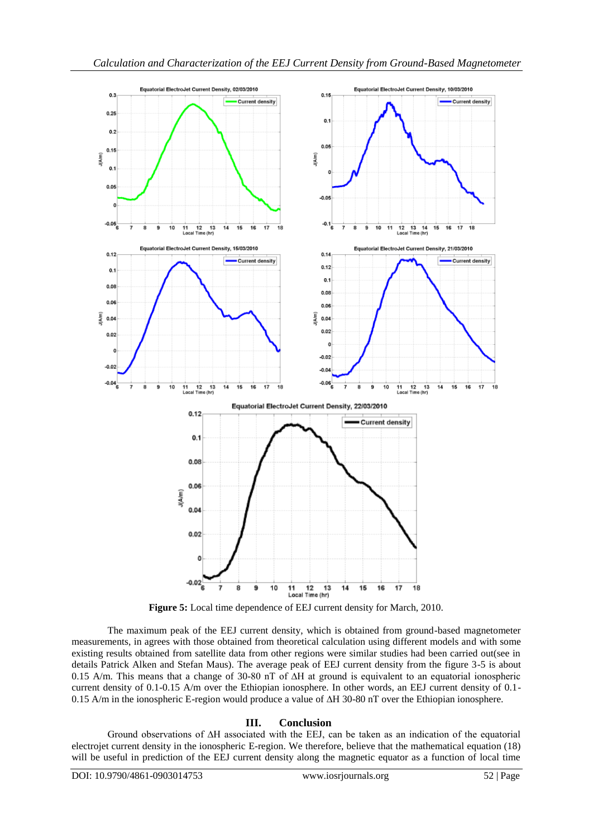

**Figure 5:** Local time dependence of EEJ current density for March, 2010.

The maximum peak of the EEJ current density, which is obtained from ground-based magnetometer measurements, in agrees with those obtained from theoretical calculation using different models and with some existing results obtained from satellite data from other regions were similar studies had been carried out(see in details Patrick Alken and Stefan Maus). The average peak of EEJ current density from the figure 3-5 is about 0.15 A/m. This means that a change of 30-80 nT of ∆H at ground is equivalent to an equatorial ionospheric current density of 0.1-0.15 A/m over the Ethiopian ionosphere. In other words, an EEJ current density of 0.1- 0.15 A/m in the ionospheric E-region would produce a value of ∆H 30-80 nT over the Ethiopian ionosphere.

## **III. Conclusion**

Ground observations of ∆H associated with the EEJ, can be taken as an indication of the equatorial electrojet current density in the ionospheric E-region. We therefore, believe that the mathematical equation (18) will be useful in prediction of the EEJ current density along the magnetic equator as a function of local time